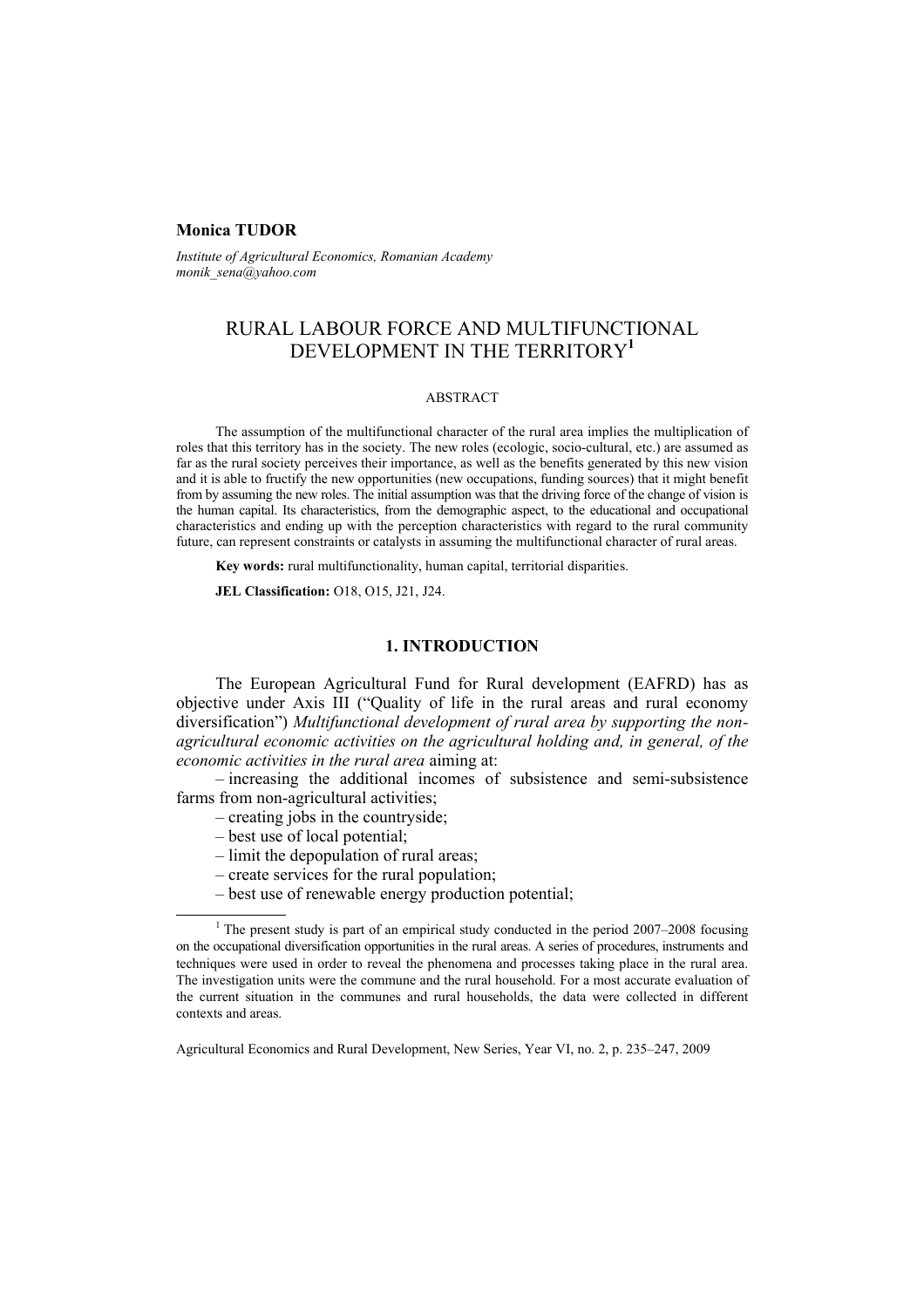## **Monica TUDOR**

*Institute of Agricultural Economics, Romanian Academy monik\_sena@yahoo.com* 

# RURAL LABOUR FORCE AND MULTIFUNCTIONAL DEVELOPMENT IN THE TERRITORY**<sup>1</sup>**

### ABSTRACT

The assumption of the multifunctional character of the rural area implies the multiplication of roles that this territory has in the society. The new roles (ecologic, socio-cultural, etc.) are assumed as far as the rural society perceives their importance, as well as the benefits generated by this new vision and it is able to fructify the new opportunities (new occupations, funding sources) that it might benefit from by assuming the new roles. The initial assumption was that the driving force of the change of vision is the human capital. Its characteristics, from the demographic aspect, to the educational and occupational characteristics and ending up with the perception characteristics with regard to the rural community future, can represent constraints or catalysts in assuming the multifunctional character of rural areas.

**Key words:** rural multifunctionality, human capital, territorial disparities.

**JEL Classification:** O18, O15, J21, J24.

## **1. INTRODUCTION**

The European Agricultural Fund for Rural development (EAFRD) has as objective under Axis III ("Quality of life in the rural areas and rural economy diversification") *Multifunctional development of rural area by supporting the nonagricultural economic activities on the agricultural holding and, in general, of the economic activities in the rural area* aiming at:

– increasing the additional incomes of subsistence and semi-subsistence farms from non-agricultural activities;

- creating jobs in the countryside;
- best use of local potential;
- limit the depopulation of rural areas;
- create services for the rural population;
- best use of renewable energy production potential;

 $\overline{1}$ <sup>1</sup> The present study is part of an empirical study conducted in the period  $2007-2008$  focusing on the occupational diversification opportunities in the rural areas. A series of procedures, instruments and techniques were used in order to reveal the phenomena and processes taking place in the rural area. The investigation units were the commune and the rural household. For a most accurate evaluation of the current situation in the communes and rural households, the data were collected in different contexts and areas.

Agricultural Economics and Rural Development, New Series, Year VI, no. 2, p. 235–247, 2009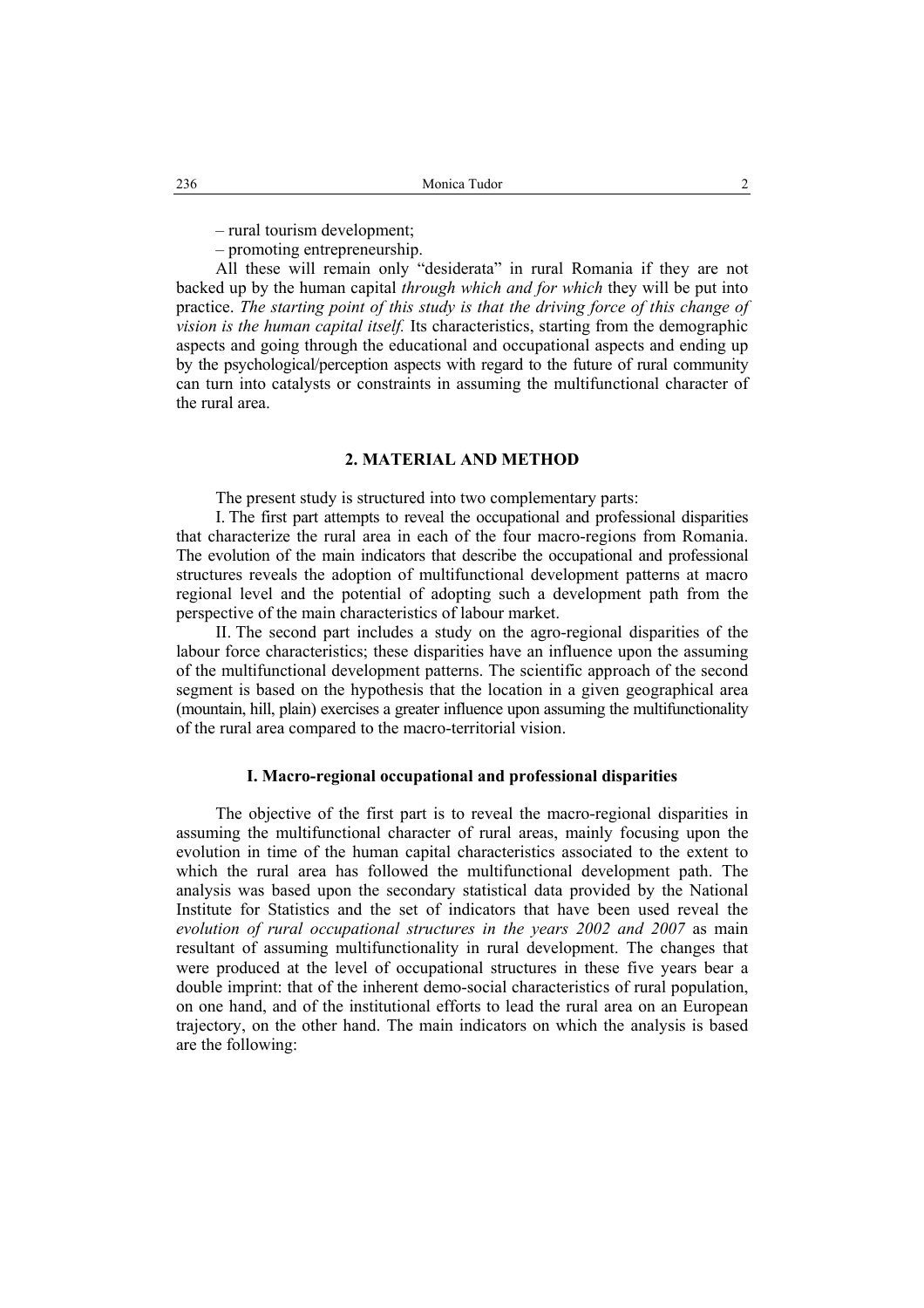– rural tourism development;

– promoting entrepreneurship.

All these will remain only "desiderata" in rural Romania if they are not backed up by the human capital *through which and for which* they will be put into practice. *The starting point of this study is that the driving force of this change of vision is the human capital itself.* Its characteristics, starting from the demographic aspects and going through the educational and occupational aspects and ending up by the psychological/perception aspects with regard to the future of rural community can turn into catalysts or constraints in assuming the multifunctional character of the rural area.

## **2. MATERIAL AND METHOD**

The present study is structured into two complementary parts:

I. The first part attempts to reveal the occupational and professional disparities that characterize the rural area in each of the four macro-regions from Romania. The evolution of the main indicators that describe the occupational and professional structures reveals the adoption of multifunctional development patterns at macro regional level and the potential of adopting such a development path from the perspective of the main characteristics of labour market.

II. The second part includes a study on the agro-regional disparities of the labour force characteristics; these disparities have an influence upon the assuming of the multifunctional development patterns. The scientific approach of the second segment is based on the hypothesis that the location in a given geographical area (mountain, hill, plain) exercises a greater influence upon assuming the multifunctionality of the rural area compared to the macro-territorial vision.

## **I. Macro-regional occupational and professional disparities**

The objective of the first part is to reveal the macro-regional disparities in assuming the multifunctional character of rural areas, mainly focusing upon the evolution in time of the human capital characteristics associated to the extent to which the rural area has followed the multifunctional development path. The analysis was based upon the secondary statistical data provided by the National Institute for Statistics and the set of indicators that have been used reveal the *evolution of rural occupational structures in the years 2002 and 2007* as main resultant of assuming multifunctionality in rural development. The changes that were produced at the level of occupational structures in these five years bear a double imprint: that of the inherent demo-social characteristics of rural population, on one hand, and of the institutional efforts to lead the rural area on an European trajectory, on the other hand. The main indicators on which the analysis is based are the following: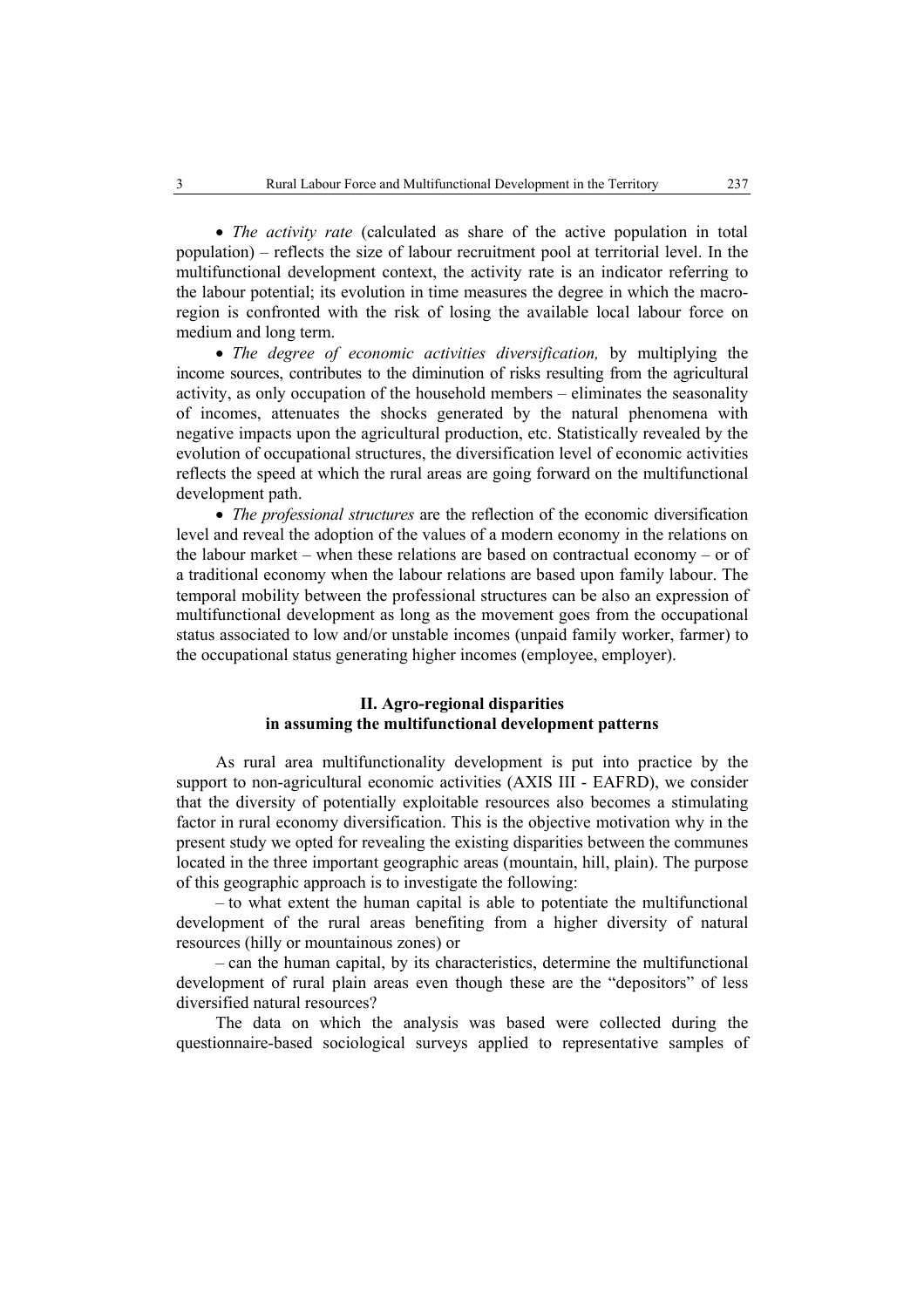• *The activity rate* (calculated as share of the active population in total population) – reflects the size of labour recruitment pool at territorial level. In the multifunctional development context, the activity rate is an indicator referring to the labour potential; its evolution in time measures the degree in which the macroregion is confronted with the risk of losing the available local labour force on medium and long term.

• *The degree of economic activities diversification,* by multiplying the income sources, contributes to the diminution of risks resulting from the agricultural activity, as only occupation of the household members – eliminates the seasonality of incomes, attenuates the shocks generated by the natural phenomena with negative impacts upon the agricultural production, etc. Statistically revealed by the evolution of occupational structures, the diversification level of economic activities reflects the speed at which the rural areas are going forward on the multifunctional development path.

• *The professional structures* are the reflection of the economic diversification level and reveal the adoption of the values of a modern economy in the relations on the labour market – when these relations are based on contractual economy – or of a traditional economy when the labour relations are based upon family labour. The temporal mobility between the professional structures can be also an expression of multifunctional development as long as the movement goes from the occupational status associated to low and/or unstable incomes (unpaid family worker, farmer) to the occupational status generating higher incomes (employee, employer).

## **II. Agro-regional disparities in assuming the multifunctional development patterns**

As rural area multifunctionality development is put into practice by the support to non-agricultural economic activities (AXIS III - EAFRD), we consider that the diversity of potentially exploitable resources also becomes a stimulating factor in rural economy diversification. This is the objective motivation why in the present study we opted for revealing the existing disparities between the communes located in the three important geographic areas (mountain, hill, plain). The purpose of this geographic approach is to investigate the following:

– to what extent the human capital is able to potentiate the multifunctional development of the rural areas benefiting from a higher diversity of natural resources (hilly or mountainous zones) or

– can the human capital, by its characteristics, determine the multifunctional development of rural plain areas even though these are the "depositors" of less diversified natural resources?

The data on which the analysis was based were collected during the questionnaire-based sociological surveys applied to representative samples of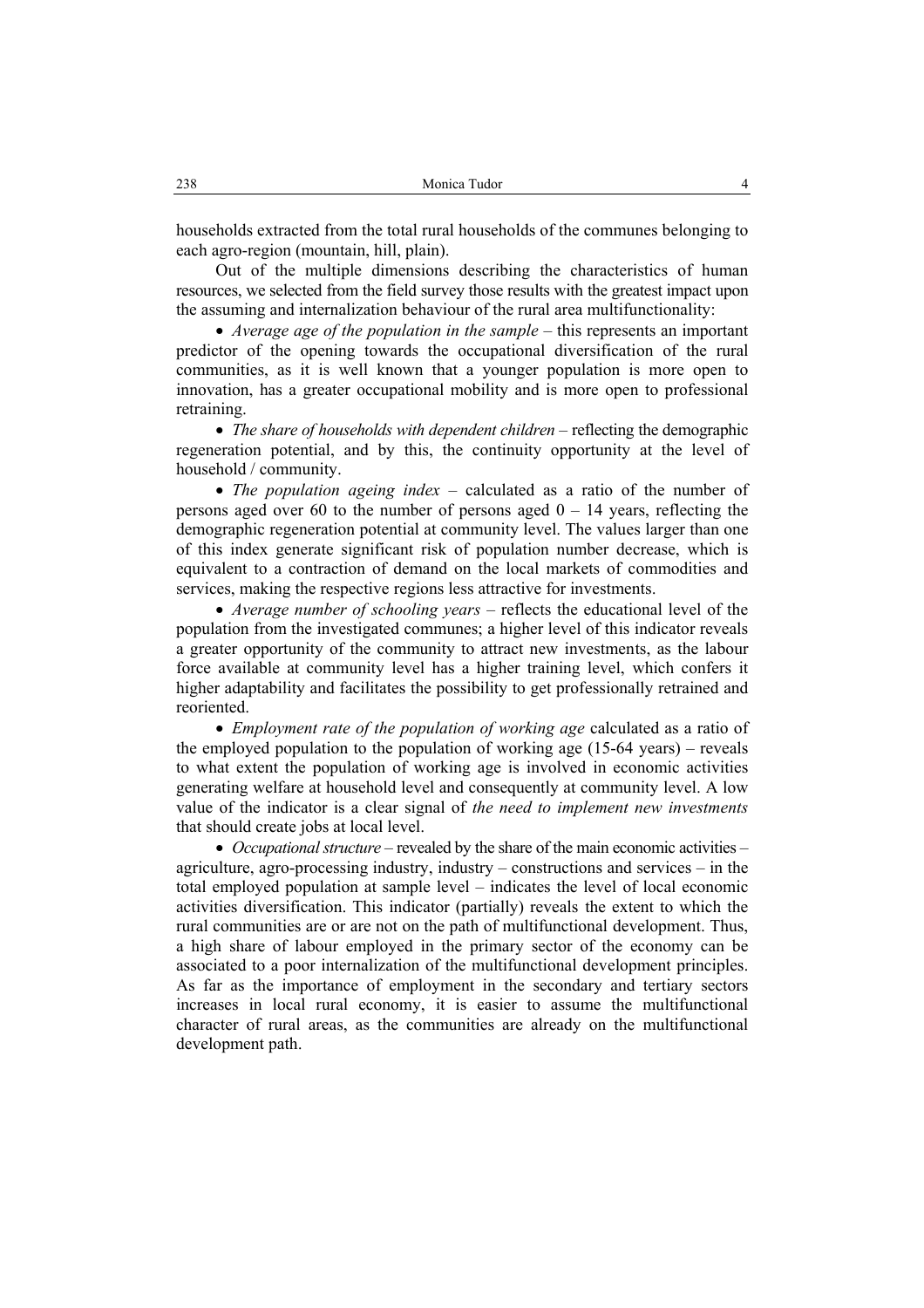households extracted from the total rural households of the communes belonging to each agro-region (mountain, hill, plain).

Out of the multiple dimensions describing the characteristics of human resources, we selected from the field survey those results with the greatest impact upon the assuming and internalization behaviour of the rural area multifunctionality:

• *Average age of the population in the sample* – this represents an important predictor of the opening towards the occupational diversification of the rural communities, as it is well known that a younger population is more open to innovation, has a greater occupational mobility and is more open to professional retraining.

• *The share of households with dependent children* – reflecting the demographic regeneration potential, and by this, the continuity opportunity at the level of household / community.

• *The population ageing index* – calculated as a ratio of the number of persons aged over 60 to the number of persons aged  $0 - 14$  years, reflecting the demographic regeneration potential at community level. The values larger than one of this index generate significant risk of population number decrease, which is equivalent to a contraction of demand on the local markets of commodities and services, making the respective regions less attractive for investments.

• *Average number of schooling years* – reflects the educational level of the population from the investigated communes; a higher level of this indicator reveals a greater opportunity of the community to attract new investments, as the labour force available at community level has a higher training level, which confers it higher adaptability and facilitates the possibility to get professionally retrained and reoriented.

• *Employment rate of the population of working age* calculated as a ratio of the employed population to the population of working age (15-64 years) – reveals to what extent the population of working age is involved in economic activities generating welfare at household level and consequently at community level. A low value of the indicator is a clear signal of *the need to implement new investments* that should create jobs at local level.

• *Occupational structure –* revealed by the share of the main economic activities – agriculture, agro-processing industry, industry – constructions and services – in the total employed population at sample level – indicates the level of local economic activities diversification. This indicator (partially) reveals the extent to which the rural communities are or are not on the path of multifunctional development. Thus, a high share of labour employed in the primary sector of the economy can be associated to a poor internalization of the multifunctional development principles. As far as the importance of employment in the secondary and tertiary sectors increases in local rural economy, it is easier to assume the multifunctional character of rural areas, as the communities are already on the multifunctional development path.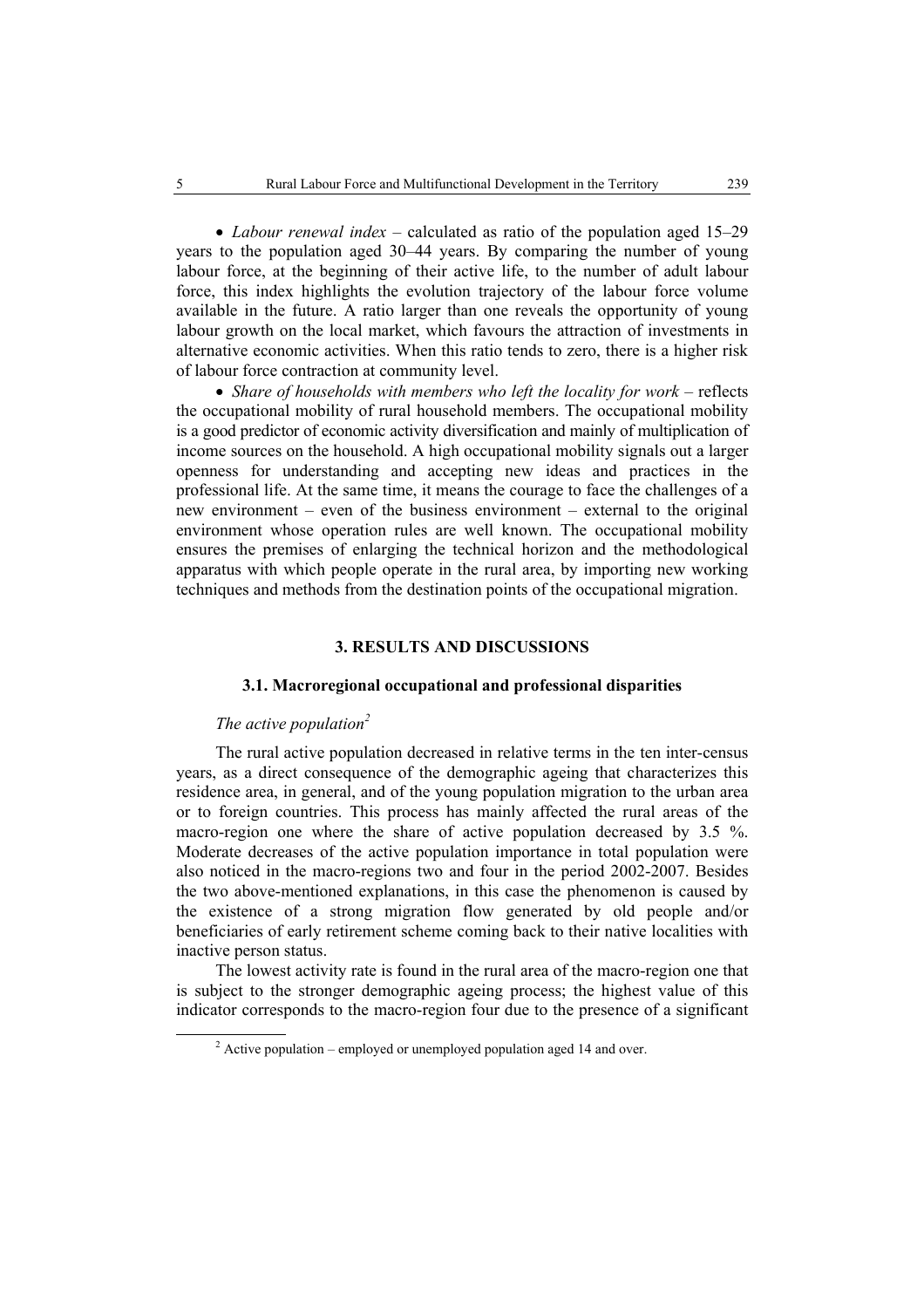• *Labour renewal index* – calculated as ratio of the population aged 15–29 years to the population aged 30–44 years. By comparing the number of young labour force, at the beginning of their active life, to the number of adult labour force, this index highlights the evolution trajectory of the labour force volume available in the future. A ratio larger than one reveals the opportunity of young labour growth on the local market, which favours the attraction of investments in alternative economic activities. When this ratio tends to zero, there is a higher risk of labour force contraction at community level.

• *Share of households with members who left the locality for work* – reflects the occupational mobility of rural household members. The occupational mobility is a good predictor of economic activity diversification and mainly of multiplication of income sources on the household. A high occupational mobility signals out a larger openness for understanding and accepting new ideas and practices in the professional life. At the same time, it means the courage to face the challenges of a new environment – even of the business environment – external to the original environment whose operation rules are well known. The occupational mobility ensures the premises of enlarging the technical horizon and the methodological apparatus with which people operate in the rural area, by importing new working techniques and methods from the destination points of the occupational migration.

## **3. RESULTS AND DISCUSSIONS**

## **3.1. Macroregional occupational and professional disparities**

## *The active population<sup>2</sup>*

The rural active population decreased in relative terms in the ten inter-census years, as a direct consequence of the demographic ageing that characterizes this residence area, in general, and of the young population migration to the urban area or to foreign countries. This process has mainly affected the rural areas of the macro-region one where the share of active population decreased by 3.5 %. Moderate decreases of the active population importance in total population were also noticed in the macro-regions two and four in the period 2002-2007. Besides the two above-mentioned explanations, in this case the phenomenon is caused by the existence of a strong migration flow generated by old people and/or beneficiaries of early retirement scheme coming back to their native localities with inactive person status.

The lowest activity rate is found in the rural area of the macro-region one that is subject to the stronger demographic ageing process; the highest value of this indicator corresponds to the macro-region four due to the presence of a significant

 <sup>2</sup>  $\alpha$ <sup>2</sup> Active population – employed or unemployed population aged 14 and over.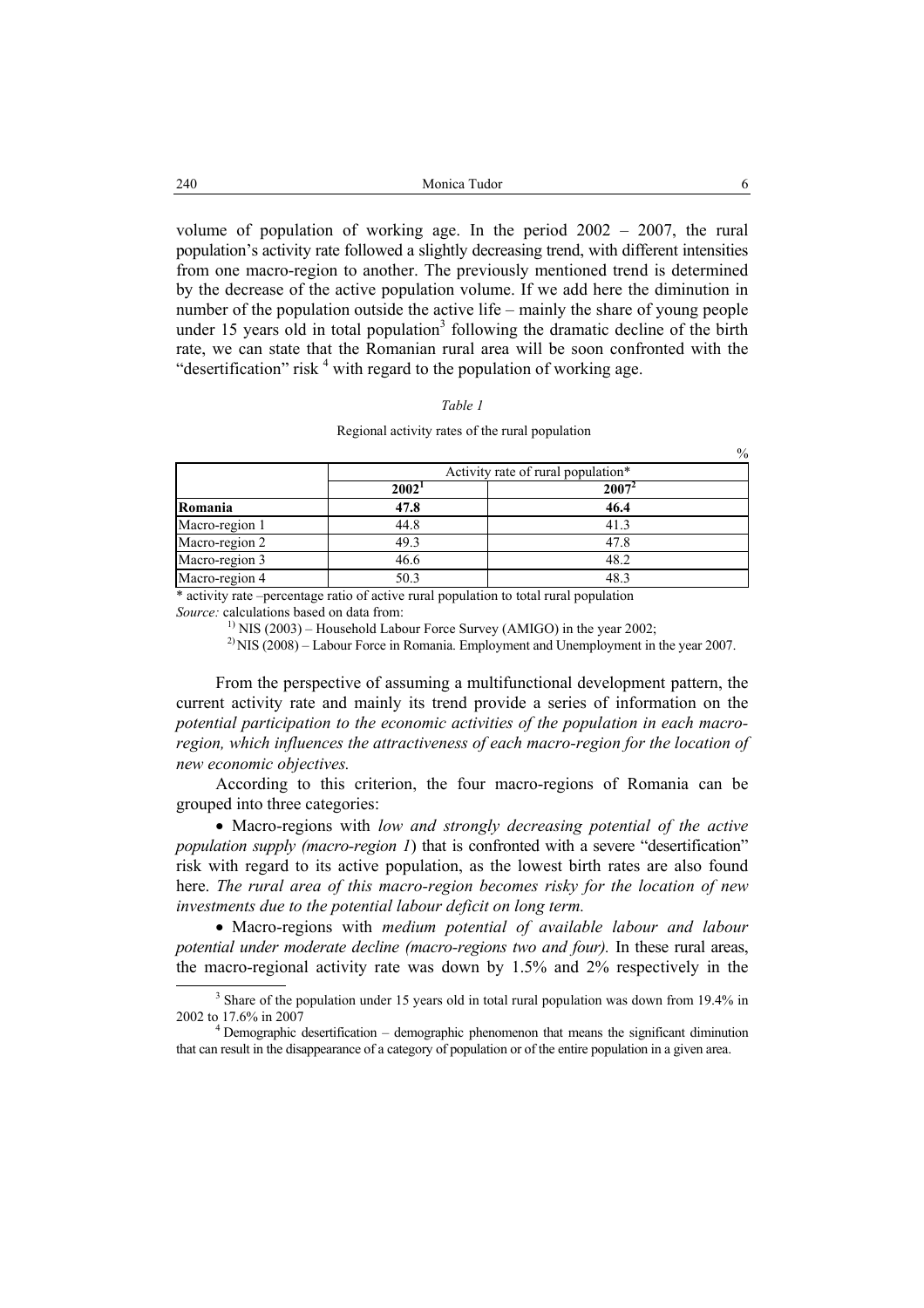volume of population of working age. In the period  $2002 - 2007$ , the rural population's activity rate followed a slightly decreasing trend, with different intensities from one macro-region to another. The previously mentioned trend is determined by the decrease of the active population volume. If we add here the diminution in number of the population outside the active life – mainly the share of young people under 15 years old in total population<sup>3</sup> following the dramatic decline of the birth rate, we can state that the Romanian rural area will be soon confronted with the "desertification" risk  $4$  with regard to the population of working age.

#### *Table 1*

#### Regional activity rates of the rural population

|                |                                    | $70^{\circ}$ |  |  |  |
|----------------|------------------------------------|--------------|--|--|--|
|                | Activity rate of rural population* |              |  |  |  |
|                | 2002'                              | $2007^2$     |  |  |  |
| Romania        | 47.8                               | 46.4         |  |  |  |
| Macro-region 1 | 44.8                               | 41.3         |  |  |  |
| Macro-region 2 | 49.3                               | 47.8         |  |  |  |
| Macro-region 3 | 46.6                               | 48.2         |  |  |  |
| Macro-region 4 | 50.3                               | 48 3         |  |  |  |

\* activity rate –percentage ratio of active rural population to total rural population *Source:* calculations based on data from:

<sup>1)</sup> NIS (2003) – Household Labour Force Survey (AMIGO) in the year 2002;

 $^{2}$  NIS (2008) – Labour Force in Romania. Employment and Unemployment in the year 2007.

From the perspective of assuming a multifunctional development pattern, the current activity rate and mainly its trend provide a series of information on the *potential participation to the economic activities of the population in each macroregion, which influences the attractiveness of each macro-region for the location of new economic objectives.* 

According to this criterion, the four macro-regions of Romania can be grouped into three categories:

• Macro-regions with *low and strongly decreasing potential of the active population supply (macro-region 1*) that is confronted with a severe "desertification" risk with regard to its active population, as the lowest birth rates are also found here. *The rural area of this macro-region becomes risky for the location of new investments due to the potential labour deficit on long term.* 

• Macro-regions with *medium potential of available labour and labour potential under moderate decline (macro-regions two and four).* In these rural areas, the macro-regional activity rate was down by  $1.5\%$  and 2% respectively in the

 $\alpha$ 

<sup>&</sup>lt;sup>3</sup> Share of the population under 15 years old in total rural population was down from 19.4% in 2002 to 17.6% in 2007

<sup>&</sup>lt;sup>4</sup> Demographic desertification – demographic phenomenon that means the significant diminution that can result in the disappearance of a category of population or of the entire population in a given area.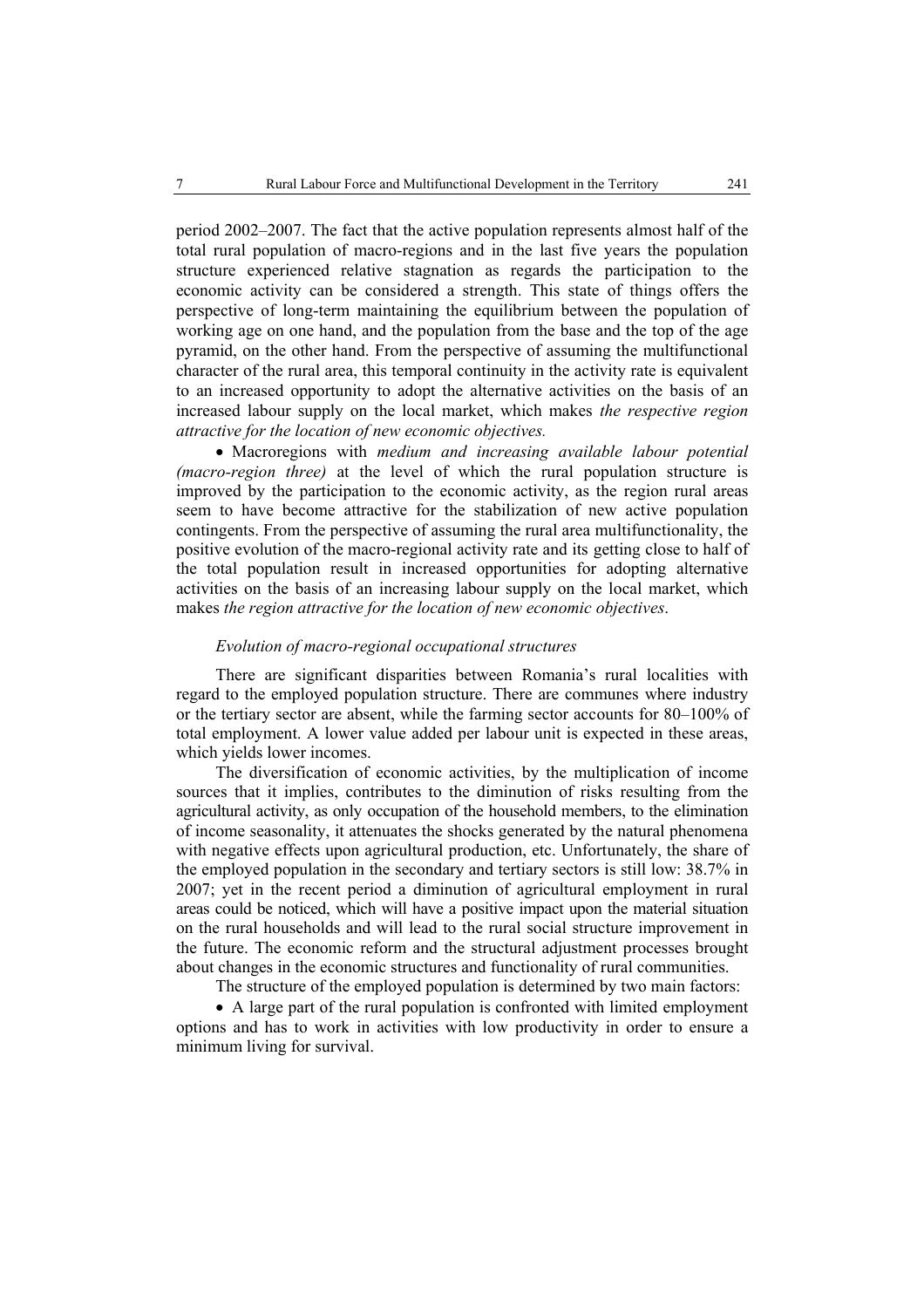period 2002–2007. The fact that the active population represents almost half of the total rural population of macro-regions and in the last five years the population structure experienced relative stagnation as regards the participation to the economic activity can be considered a strength. This state of things offers the perspective of long-term maintaining the equilibrium between the population of working age on one hand, and the population from the base and the top of the age pyramid, on the other hand. From the perspective of assuming the multifunctional character of the rural area, this temporal continuity in the activity rate is equivalent to an increased opportunity to adopt the alternative activities on the basis of an increased labour supply on the local market, which makes *the respective region attractive for the location of new economic objectives.*

• Macroregions with *medium and increasing available labour potential (macro-region three)* at the level of which the rural population structure is improved by the participation to the economic activity, as the region rural areas seem to have become attractive for the stabilization of new active population contingents. From the perspective of assuming the rural area multifunctionality, the positive evolution of the macro-regional activity rate and its getting close to half of the total population result in increased opportunities for adopting alternative activities on the basis of an increasing labour supply on the local market, which makes *the region attractive for the location of new economic objectives*.

### *Evolution of macro-regional occupational structures*

There are significant disparities between Romania's rural localities with regard to the employed population structure. There are communes where industry or the tertiary sector are absent, while the farming sector accounts for 80–100% of total employment. A lower value added per labour unit is expected in these areas, which yields lower incomes.

The diversification of economic activities, by the multiplication of income sources that it implies, contributes to the diminution of risks resulting from the agricultural activity, as only occupation of the household members, to the elimination of income seasonality, it attenuates the shocks generated by the natural phenomena with negative effects upon agricultural production, etc. Unfortunately, the share of the employed population in the secondary and tertiary sectors is still low: 38.7% in 2007; yet in the recent period a diminution of agricultural employment in rural areas could be noticed, which will have a positive impact upon the material situation on the rural households and will lead to the rural social structure improvement in the future. The economic reform and the structural adjustment processes brought about changes in the economic structures and functionality of rural communities.

The structure of the employed population is determined by two main factors:

• A large part of the rural population is confronted with limited employment options and has to work in activities with low productivity in order to ensure a minimum living for survival.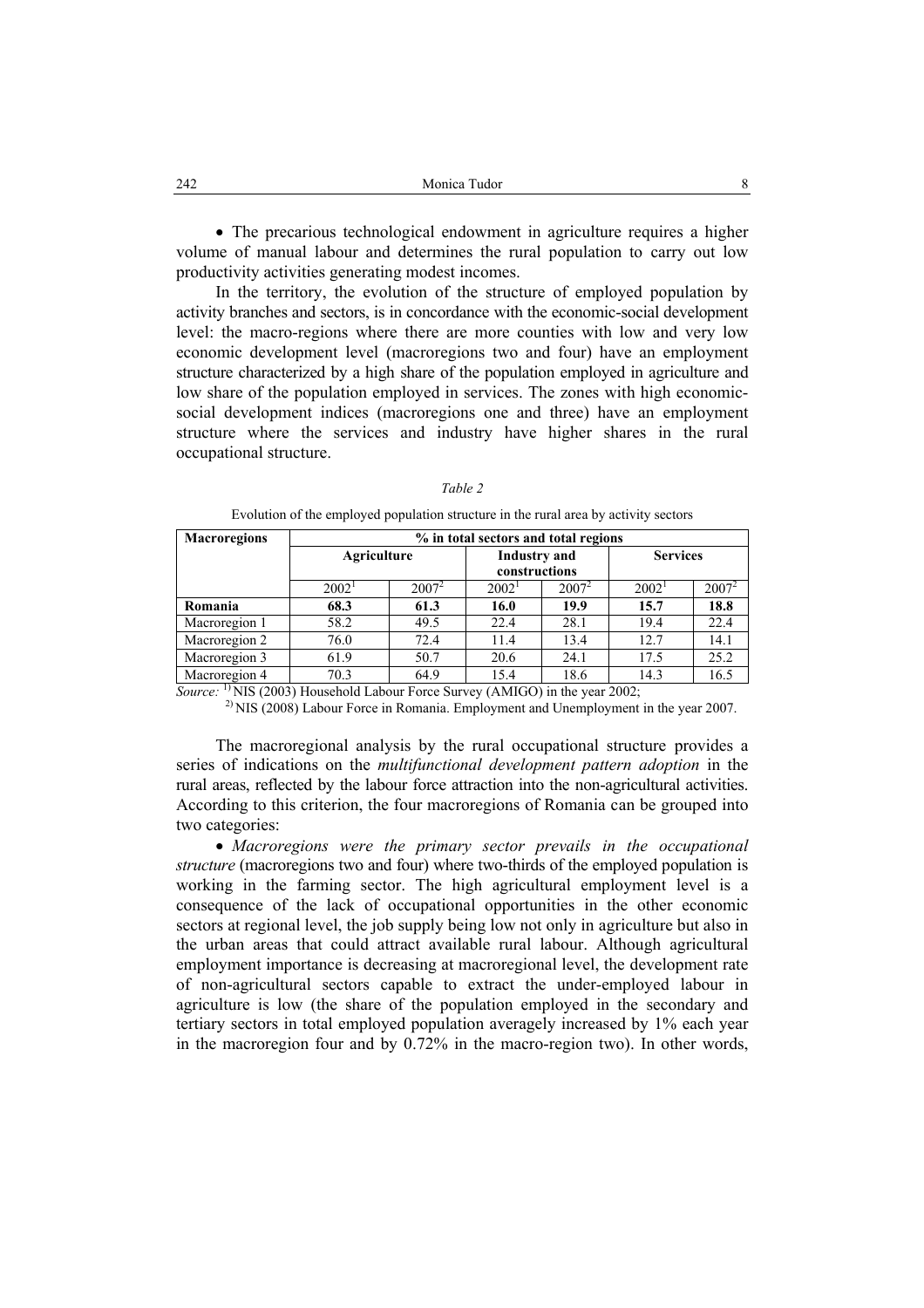• The precarious technological endowment in agriculture requires a higher volume of manual labour and determines the rural population to carry out low productivity activities generating modest incomes.

In the territory, the evolution of the structure of employed population by activity branches and sectors, is in concordance with the economic-social development level: the macro-regions where there are more counties with low and very low economic development level (macroregions two and four) have an employment structure characterized by a high share of the population employed in agriculture and low share of the population employed in services. The zones with high economicsocial development indices (macroregions one and three) have an employment structure where the services and industry have higher shares in the rural occupational structure.

| <b>Macroregions</b>    | % in total sectors and total regions              |               |                                      |          |                      |          |  |  |
|------------------------|---------------------------------------------------|---------------|--------------------------------------|----------|----------------------|----------|--|--|
|                        | Agriculture                                       |               | <b>Industry</b> and<br>constructions |          | <b>Services</b>      |          |  |  |
|                        | $2002^1$                                          | $2007^2$      | $2002^1$                             | $2007^2$ | $2002^1$             | $2007^2$ |  |  |
| Romania                | 68.3                                              | 61.3          | 16.0                                 | 19.9     | 15.7                 | 18.8     |  |  |
| Macroregion 1          | 58.2                                              | 49.5          | 22.4                                 | 28.1     | 19.4                 | 22.4     |  |  |
| Macroregion 2          | 76.0                                              | 72.4          | 11.4                                 | 13.4     | 12.7                 | 14.1     |  |  |
| Macroregion 3          | 61.9                                              | 50.7          | 20.6                                 | 24.1     | 17.5                 | 25.2     |  |  |
| Macroregion 4          | 70.3                                              | 64.9          | 15.4                                 | 18.6     | 14.3                 | 16.5     |  |  |
| $\mathbf{1}$<br>$\sim$ | $\bullet$ $\bullet$ $\bullet$ $\bullet$ $\bullet$ | $\sim$ $\sim$ |                                      |          | $\sim$ $\sim$ $\sim$ |          |  |  |

*Table 2* 

Evolution of the employed population structure in the rural area by activity sectors

*Source:* 1) NIS (2003) Household Labour Force Survey (AMIGO) in the year 2002;

<sup>2)</sup> NIS (2008) Labour Force in Romania. Employment and Unemployment in the year 2007.

The macroregional analysis by the rural occupational structure provides a series of indications on the *multifunctional development pattern adoption* in the rural areas, reflected by the labour force attraction into the non-agricultural activities. According to this criterion, the four macroregions of Romania can be grouped into two categories:

• *Macroregions were the primary sector prevails in the occupational structure* (macroregions two and four) where two-thirds of the employed population is working in the farming sector. The high agricultural employment level is a consequence of the lack of occupational opportunities in the other economic sectors at regional level, the job supply being low not only in agriculture but also in the urban areas that could attract available rural labour. Although agricultural employment importance is decreasing at macroregional level, the development rate of non-agricultural sectors capable to extract the under-employed labour in agriculture is low (the share of the population employed in the secondary and tertiary sectors in total employed population averagely increased by 1% each year in the macroregion four and by 0.72% in the macro-region two). In other words,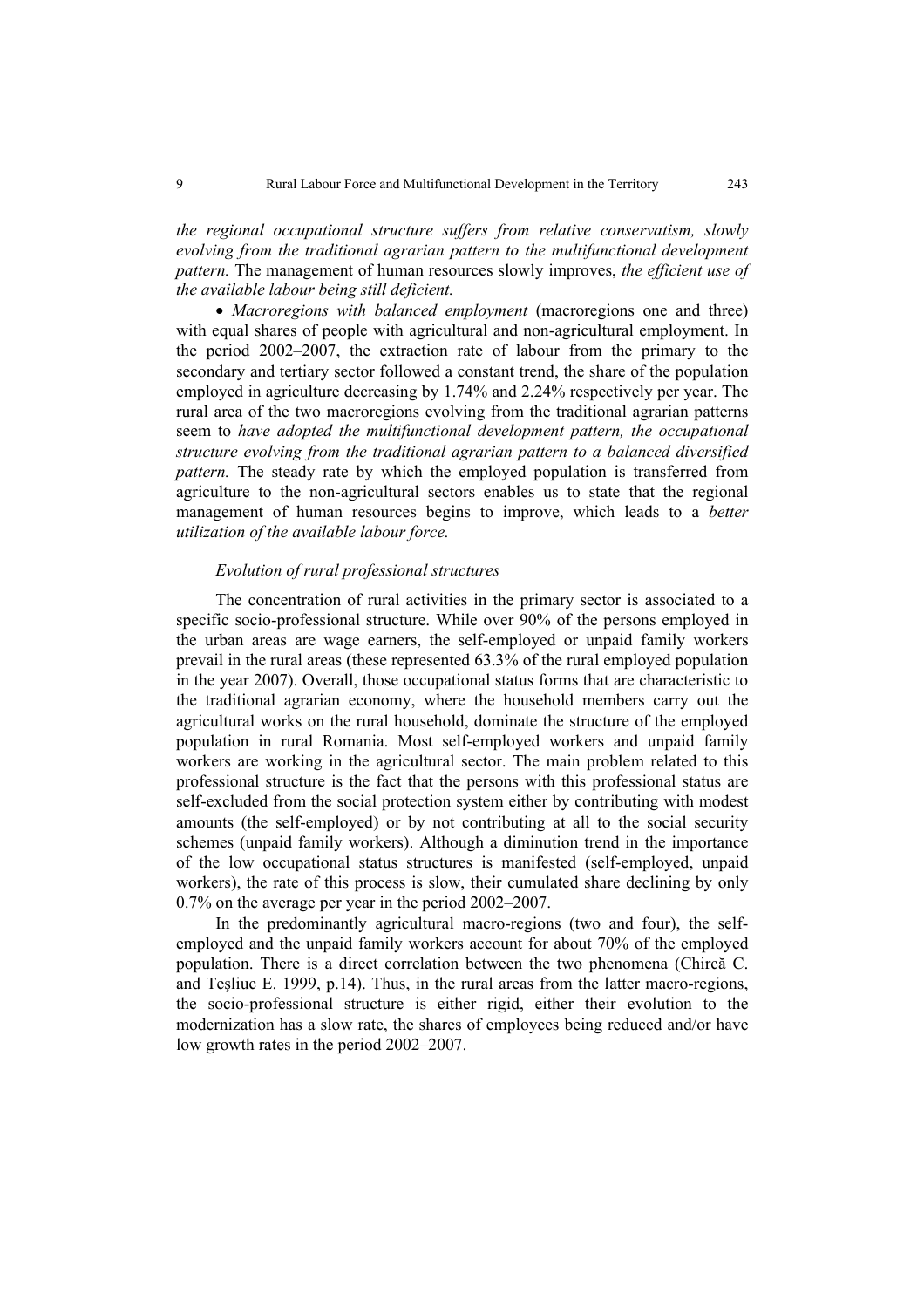*the regional occupational structure suffers from relative conservatism, slowly evolving from the traditional agrarian pattern to the multifunctional development pattern.* The management of human resources slowly improves, *the efficient use of the available labour being still deficient.*

• *Macroregions with balanced employment* (macroregions one and three) with equal shares of people with agricultural and non-agricultural employment. In the period 2002–2007, the extraction rate of labour from the primary to the secondary and tertiary sector followed a constant trend, the share of the population employed in agriculture decreasing by 1.74% and 2.24% respectively per year. The rural area of the two macroregions evolving from the traditional agrarian patterns seem to *have adopted the multifunctional development pattern, the occupational structure evolving from the traditional agrarian pattern to a balanced diversified pattern.* The steady rate by which the employed population is transferred from agriculture to the non-agricultural sectors enables us to state that the regional management of human resources begins to improve, which leads to a *better utilization of the available labour force.* 

### *Evolution of rural professional structures*

The concentration of rural activities in the primary sector is associated to a specific socio-professional structure. While over 90% of the persons employed in the urban areas are wage earners, the self-employed or unpaid family workers prevail in the rural areas (these represented 63.3% of the rural employed population in the year 2007). Overall, those occupational status forms that are characteristic to the traditional agrarian economy, where the household members carry out the agricultural works on the rural household, dominate the structure of the employed population in rural Romania. Most self-employed workers and unpaid family workers are working in the agricultural sector. The main problem related to this professional structure is the fact that the persons with this professional status are self-excluded from the social protection system either by contributing with modest amounts (the self-employed) or by not contributing at all to the social security schemes (unpaid family workers). Although a diminution trend in the importance of the low occupational status structures is manifested (self-employed, unpaid workers), the rate of this process is slow, their cumulated share declining by only 0.7% on the average per year in the period 2002–2007.

In the predominantly agricultural macro-regions (two and four), the selfemployed and the unpaid family workers account for about 70% of the employed population. There is a direct correlation between the two phenomena (Chircă C. and Teşliuc E. 1999, p.14). Thus, in the rural areas from the latter macro-regions, the socio-professional structure is either rigid, either their evolution to the modernization has a slow rate, the shares of employees being reduced and/or have low growth rates in the period 2002–2007.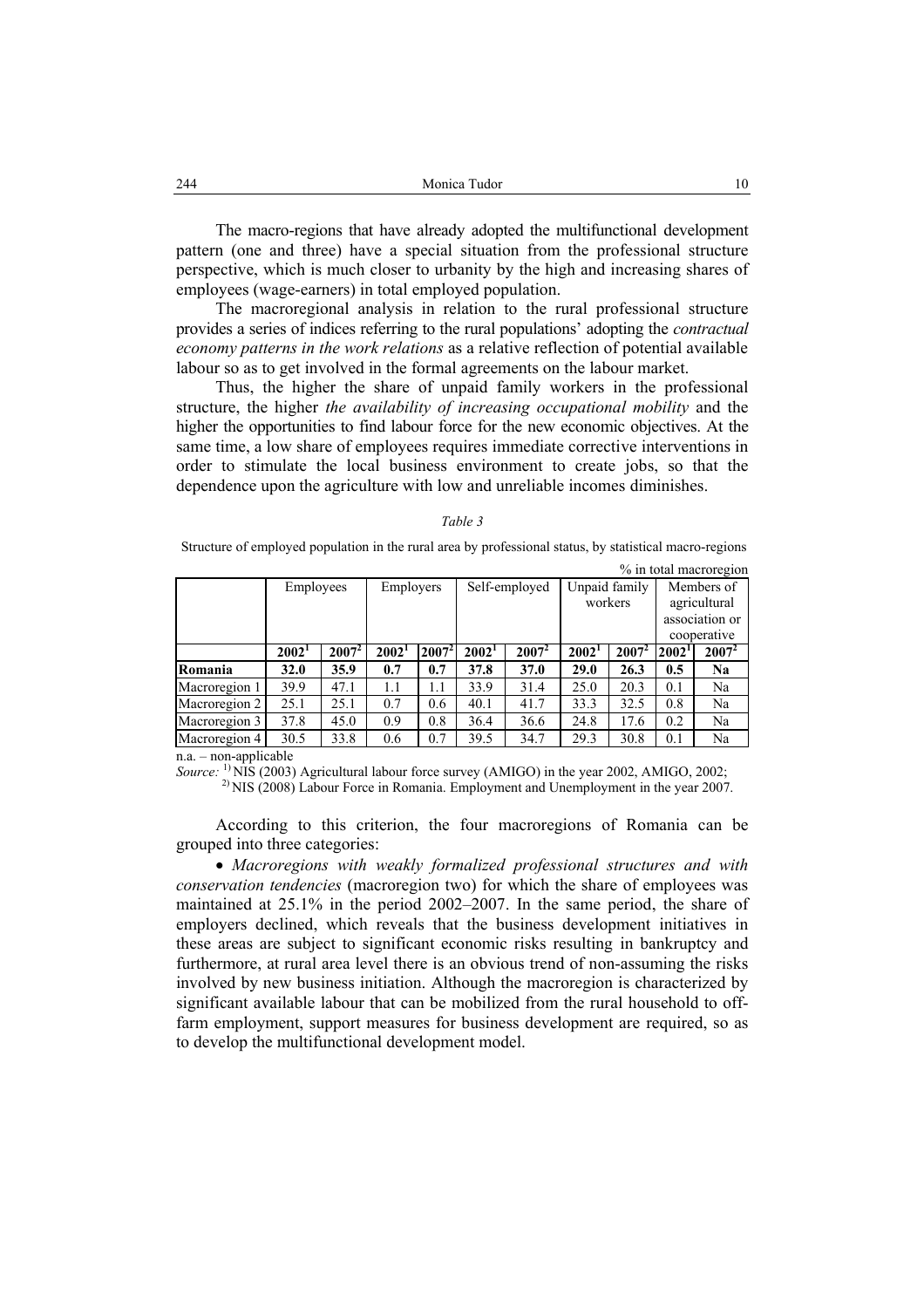The macro-regions that have already adopted the multifunctional development pattern (one and three) have a special situation from the professional structure perspective, which is much closer to urbanity by the high and increasing shares of employees (wage-earners) in total employed population.

The macroregional analysis in relation to the rural professional structure provides a series of indices referring to the rural populations' adopting the *contractual economy patterns in the work relations* as a relative reflection of potential available labour so as to get involved in the formal agreements on the labour market.

Thus, the higher the share of unpaid family workers in the professional structure, the higher *the availability of increasing occupational mobility* and the higher the opportunities to find labour force for the new economic objectives. At the same time, a low share of employees requires immediate corrective interventions in order to stimulate the local business environment to create jobs, so that the dependence upon the agriculture with low and unreliable incomes diminishes.

#### *Table 3*

 Structure of employed population in the rural area by professional status, by statistical macro-regions % in total macroregion

|               | Employees         |          | Employers         |          | Self-employed     |          | Unpaid family     |          | Members of        |          |
|---------------|-------------------|----------|-------------------|----------|-------------------|----------|-------------------|----------|-------------------|----------|
|               |                   |          |                   |          |                   |          | workers           |          | agricultural      |          |
|               |                   |          |                   |          |                   |          |                   |          | association or    |          |
|               |                   |          |                   |          |                   |          |                   |          | cooperative       |          |
|               | 2002 <sup>1</sup> | $2007^2$ | 2002 <sup>1</sup> | $2007^2$ | 2002 <sup>1</sup> | $2007^2$ | 2002 <sup>1</sup> | $2007^2$ | 2002 <sup>1</sup> | $2007^2$ |
| Romania       | 32.0              | 35.9     | 0.7               | 0.7      | 37.8              | 37.0     | 29.0              | 26.3     | 0.5               | Na       |
| Macroregion 1 | 39.9              | 47.1     | 1.1               | 1.1      | 33.9              | 31.4     | 25.0              | 20.3     | 0.1               | Na       |
| Macroregion 2 | 25.1              | 25.1     | 0.7               | 0.6      | 40.1              | 41.7     | 33.3              | 32.5     | 0.8               | Na       |
| Macroregion 3 | 37.8              | 45.0     | 0.9               | 0.8      | 36.4              | 36.6     | 24.8              | 17.6     | 0.2               | Na       |
| Macroregion 4 | 30.5              | 33.8     | 0.6               | 0.7      | 39.5              | 34.7     | 29.3              | 30.8     | 0.1               | Na       |

n.a. – non-applicable

*Source:* 1) NIS (2003) Agricultural labour force survey (AMIGO) in the year 2002, AMIGO, 2002;

<sup>2)</sup> NIS (2008) Labour Force in Romania. Employment and Unemployment in the year 2007.

According to this criterion, the four macroregions of Romania can be grouped into three categories:

• *Macroregions with weakly formalized professional structures and with conservation tendencies* (macroregion two) for which the share of employees was maintained at 25.1% in the period 2002–2007. In the same period, the share of employers declined, which reveals that the business development initiatives in these areas are subject to significant economic risks resulting in bankruptcy and furthermore, at rural area level there is an obvious trend of non-assuming the risks involved by new business initiation. Although the macroregion is characterized by significant available labour that can be mobilized from the rural household to offfarm employment, support measures for business development are required, so as to develop the multifunctional development model.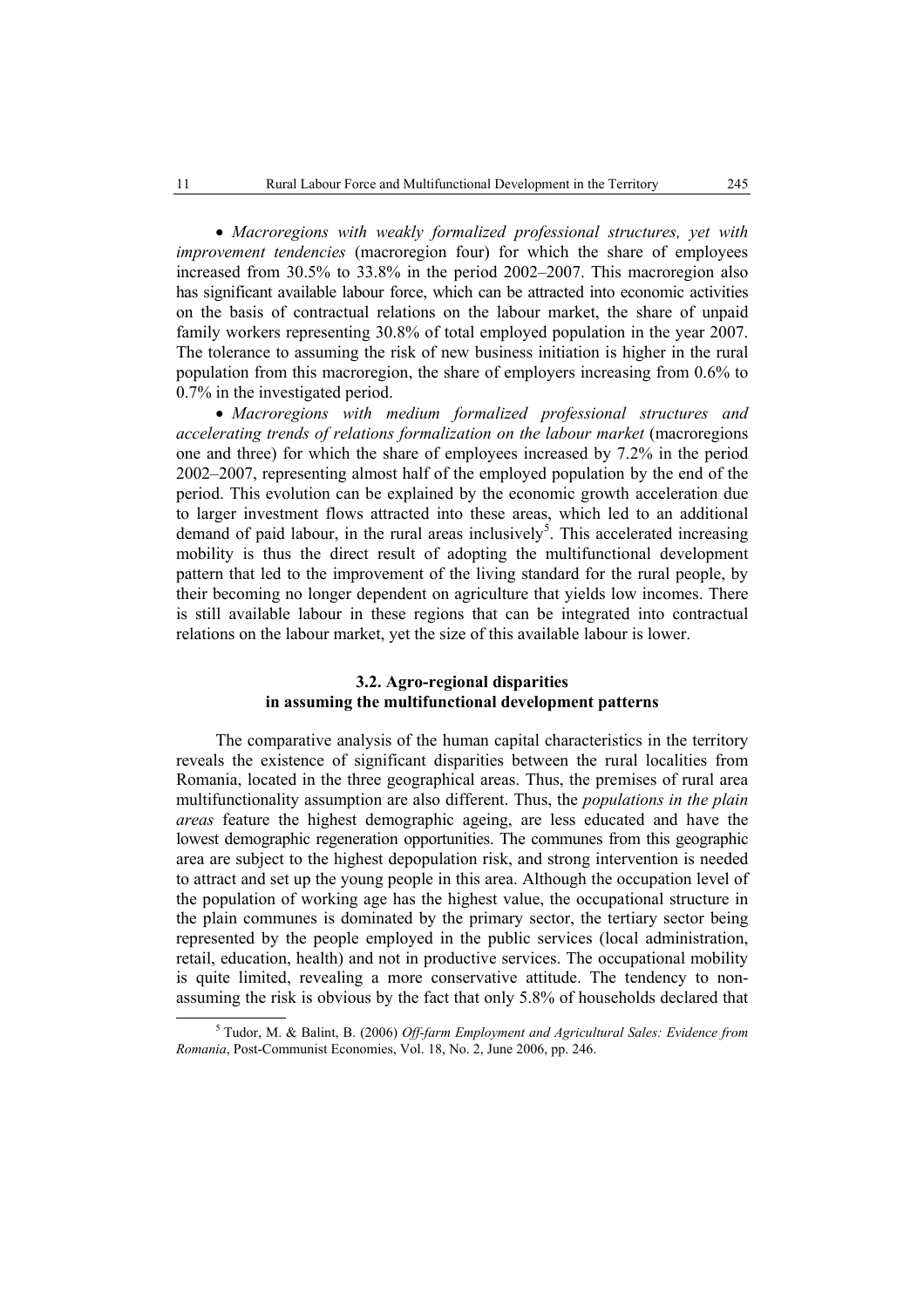• *Macroregions with weakly formalized professional structures, yet with improvement tendencies* (macroregion four) for which the share of employees increased from 30.5% to 33.8% in the period 2002–2007. This macroregion also has significant available labour force, which can be attracted into economic activities on the basis of contractual relations on the labour market, the share of unpaid family workers representing 30.8% of total employed population in the year 2007. The tolerance to assuming the risk of new business initiation is higher in the rural population from this macroregion, the share of employers increasing from 0.6% to 0.7% in the investigated period.

• *Macroregions with medium formalized professional structures and accelerating trends of relations formalization on the labour market* (macroregions one and three) for which the share of employees increased by 7.2% in the period 2002–2007, representing almost half of the employed population by the end of the period. This evolution can be explained by the economic growth acceleration due to larger investment flows attracted into these areas, which led to an additional demand of paid labour, in the rural areas inclusively<sup>5</sup>. This accelerated increasing mobility is thus the direct result of adopting the multifunctional development pattern that led to the improvement of the living standard for the rural people, by their becoming no longer dependent on agriculture that yields low incomes. There is still available labour in these regions that can be integrated into contractual relations on the labour market, yet the size of this available labour is lower.

## **3.2. Agro-regional disparities in assuming the multifunctional development patterns**

The comparative analysis of the human capital characteristics in the territory reveals the existence of significant disparities between the rural localities from Romania, located in the three geographical areas. Thus, the premises of rural area multifunctionality assumption are also different. Thus, the *populations in the plain areas* feature the highest demographic ageing, are less educated and have the lowest demographic regeneration opportunities. The communes from this geographic area are subject to the highest depopulation risk, and strong intervention is needed to attract and set up the young people in this area. Although the occupation level of the population of working age has the highest value, the occupational structure in the plain communes is dominated by the primary sector, the tertiary sector being represented by the people employed in the public services (local administration, retail, education, health) and not in productive services. The occupational mobility is quite limited, revealing a more conservative attitude. The tendency to nonassuming the risk is obvious by the fact that only 5.8% of households declared that

 $rac{1}{5}$  Tudor, M. & Balint, B. (2006) *Off-farm Employment and Agricultural Sales: Evidence from Romania*, Post-Communist Economies, Vol. 18, No. 2, June 2006, pp. 246.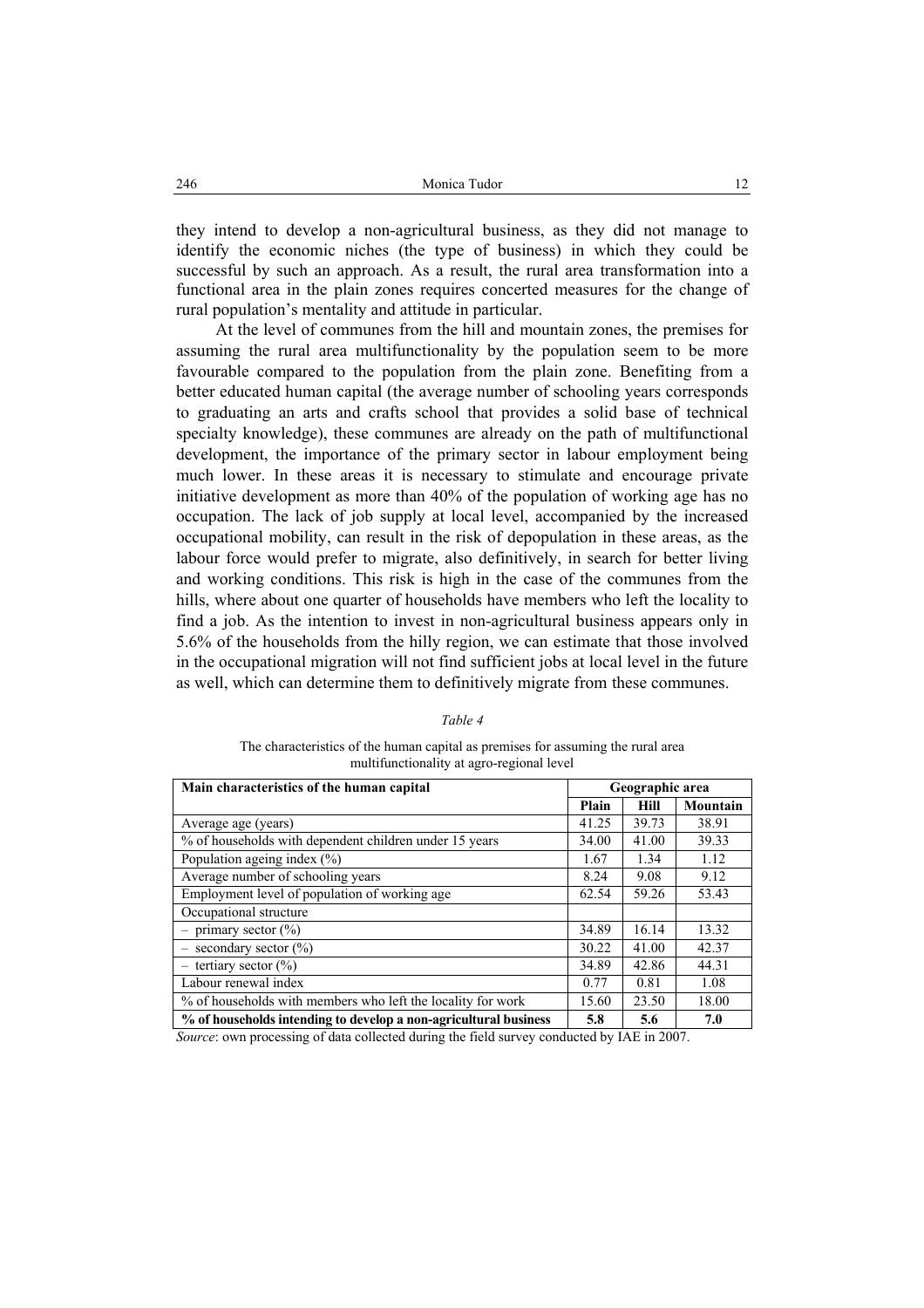they intend to develop a non-agricultural business, as they did not manage to identify the economic niches (the type of business) in which they could be successful by such an approach. As a result, the rural area transformation into a functional area in the plain zones requires concerted measures for the change of rural population's mentality and attitude in particular.

At the level of communes from the hill and mountain zones, the premises for assuming the rural area multifunctionality by the population seem to be more favourable compared to the population from the plain zone. Benefiting from a better educated human capital (the average number of schooling years corresponds to graduating an arts and crafts school that provides a solid base of technical specialty knowledge), these communes are already on the path of multifunctional development, the importance of the primary sector in labour employment being much lower. In these areas it is necessary to stimulate and encourage private initiative development as more than 40% of the population of working age has no occupation. The lack of job supply at local level, accompanied by the increased occupational mobility, can result in the risk of depopulation in these areas, as the labour force would prefer to migrate, also definitively, in search for better living and working conditions. This risk is high in the case of the communes from the hills, where about one quarter of households have members who left the locality to find a job. As the intention to invest in non-agricultural business appears only in 5.6% of the households from the hilly region, we can estimate that those involved in the occupational migration will not find sufficient jobs at local level in the future as well, which can determine them to definitively migrate from these communes.

| Main characteristics of the human capital                        | Geographic area |       |          |  |
|------------------------------------------------------------------|-----------------|-------|----------|--|
|                                                                  | Plain           | Hill  | Mountain |  |
| Average age (years)                                              | 41.25           | 39.73 | 38.91    |  |
| % of households with dependent children under 15 years           | 34.00           | 41.00 | 39.33    |  |
| Population ageing index $(\% )$                                  | 1.67            | 1.34  | 1.12     |  |
| Average number of schooling years                                | 8.24            | 9.08  | 9.12     |  |
| Employment level of population of working age                    | 62.54           | 59.26 | 53.43    |  |
| Occupational structure                                           |                 |       |          |  |
| $-$ primary sector $(\% )$                                       | 34.89           | 16.14 | 13.32    |  |
| $-$ secondary sector $(\%)$                                      | 30.22           | 41.00 | 42.37    |  |
| $-$ tertiary sector $(\% )$                                      | 34.89           | 42.86 | 44.31    |  |
| Labour renewal index                                             | 0.77            | 0.81  | 1.08     |  |
| % of households with members who left the locality for work      | 15.60           | 23.50 | 18.00    |  |
| % of households intending to develop a non-agricultural business | 5.8             | 5.6   | 7.0      |  |

*Table 4* 

The characteristics of the human capital as premises for assuming the rural area multifunctionality at agro-regional level

*Source*: own processing of data collected during the field survey conducted by IAE in 2007.